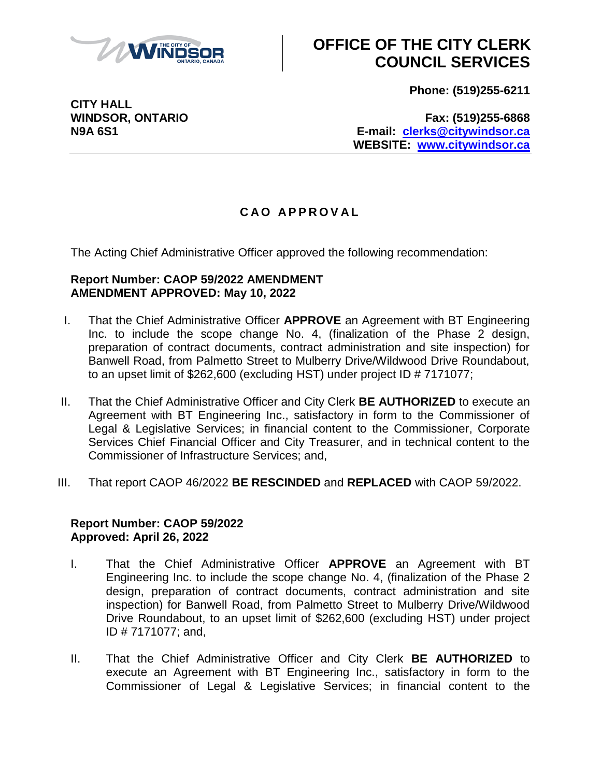

# **OFFICE OF THE CITY CLERK COUNCIL SERVICES**

**Phone: (519)255-6211**

**CITY HALL**

**WINDSOR, ONTARIO Fax: (519)255-6868 N9A 6S1 E-mail: [clerks@citywindsor.ca](mailto:clerks@citywindsor.ca) WEBSITE: [www.citywindsor.ca](http://www.citywindsor.ca/)**

### **C A O A P P R O V A L**

The Acting Chief Administrative Officer approved the following recommendation:

#### **Report Number: CAOP 59/2022 AMENDMENT AMENDMENT APPROVED: May 10, 2022**

- I. That the Chief Administrative Officer **APPROVE** an Agreement with BT Engineering Inc. to include the scope change No. 4, (finalization of the Phase 2 design, preparation of contract documents, contract administration and site inspection) for Banwell Road, from Palmetto Street to Mulberry Drive/Wildwood Drive Roundabout, to an upset limit of \$262,600 (excluding HST) under project ID # 7171077;
- II. That the Chief Administrative Officer and City Clerk **BE AUTHORIZED** to execute an Agreement with BT Engineering Inc., satisfactory in form to the Commissioner of Legal & Legislative Services; in financial content to the Commissioner, Corporate Services Chief Financial Officer and City Treasurer, and in technical content to the Commissioner of Infrastructure Services; and,
- III. That report CAOP 46/2022 **BE RESCINDED** and **REPLACED** with CAOP 59/2022.

#### **Report Number: CAOP 59/2022 Approved: April 26, 2022**

- I. That the Chief Administrative Officer **APPROVE** an Agreement with BT Engineering Inc. to include the scope change No. 4, (finalization of the Phase 2 design, preparation of contract documents, contract administration and site inspection) for Banwell Road, from Palmetto Street to Mulberry Drive/Wildwood Drive Roundabout, to an upset limit of \$262,600 (excluding HST) under project ID # 7171077; and,
- II. That the Chief Administrative Officer and City Clerk **BE AUTHORIZED** to execute an Agreement with BT Engineering Inc., satisfactory in form to the Commissioner of Legal & Legislative Services; in financial content to the